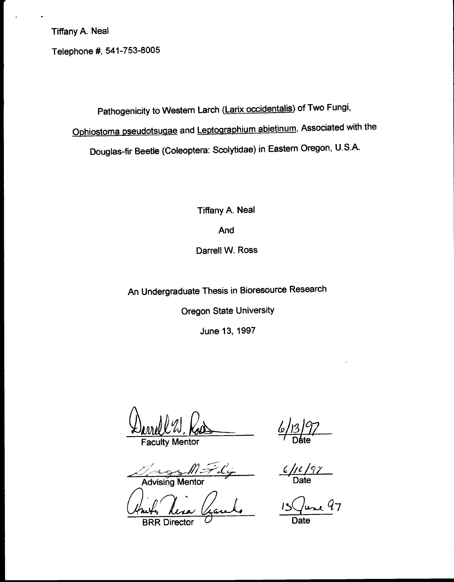Telephone #, 541-753-8005

Pathogenicity to Western Larch (Larix occidentalis) of Two Fungi, Ophiostoma pseudotsugae and Leptographium abietinum, Associated with the Douglas-fir Beetle (Coleoptera: Scolytidae) in Eastern Oregon, U.S.A.

Tiffany A. Neal

And

Darrell W. Ross

An Undergraduate Thesis in Bioresource Research

Oregon State University

June 13, 1997

Faculty Mentor

<u>6| 13| 7/</u><br>|- $\mathsf{D}$ áte $\mathsf{D}$ 

An  $\epsilon_{\text{max}}$  M  $\rightarrow$   $\ell_{\text{max}}$   $\ell_{\text{max}}$  Date

June 97

**BRR Director**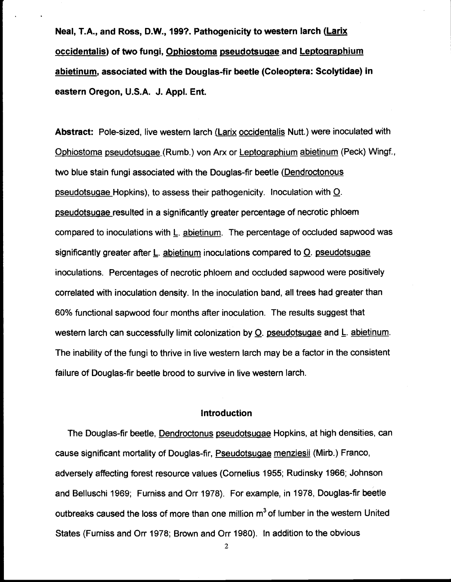Neal, T.A., and Ross, D.W., 199?. Pathogenicity to western larch (Larix occidentalis) of two fungi, Ophiostoma pseudotsugae and Leptographium abietinum, associated with the Douglas fir beetle (Coleoptera: Scolytidae) in eastern Oregon, U.S.A. J. Appl. Ent.

Abstract: Pole-sized, live western larch (Larix occidentalis Nutt.) were inoculated with Ophiostoma pseudotsugae(Rumb.) von Arx or Leptographium abietinum (Peck) Wingf., two blue stain fungi associated with the Douglas-fir beetle (Dendroctonous pseudotsugae Hopkins), to assess their pathogenicity. Inoculation with O. pseudotsugae resulted in a significantly greater percentage of necrotic phloem compared to inoculations with L. abietinum. The percentage of occluded sapwood was significantly greater after L. abietinum inoculations compared to  $Q$ . pseudotsugae inoculations. Percentages of necrotic phloem and occluded sapwood were positively correlated with inoculation density. In the inoculation band, all trees had greater than 60% functional sapwood four months after inoculation. The results suggest that western larch can successfully limit colonization by Q. pseudotsugae and L. abietinum. The inability of the fungi to thrive in live western larch may be a factor in the consistent failure of Douglas-fir beetle brood to survive in live western larch.

## Introduction

The Douglas-fir beetle, Dendroctonus pseudotsugae Hopkins, at high densities, can cause significant mortality of Douglas-fir, Pseudotsugae menziesii (Mirb.) Franco, adversely affecting forest resource values (Cornelius 1955; Rudinsky 1966; Johnson and Belluschi 1969; Fumiss and Orr 1978). For example, in 1978, Douglas-fir beetle outbreaks caused the loss of more than one million  $m<sup>3</sup>$  of lumber in the western United States (Furniss and Orr 1978; Brown and Orr 1980). In addition to the obvious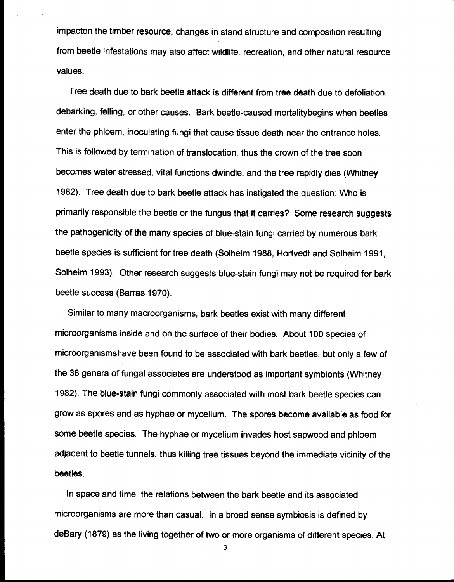impacton the timber resource, changes in stand structure and composition resulting from beetle infestations may also affect wildlife, recreation, and other natural resource values.

Tree death due to bark beetle attack is different from tree death due to defoliation, debarking, felling, or other causes. Bark beetle-caused mortalitybegins when beetles enter the phloem, inoculating fungi that cause tissue death near the entrance holes. This is followed by termination of translocation, thus the crown of the tree soon becomes water stressed, vital functions dwindle, and the tree rapidly dies (Whitney 1982). Tree death due to bark beetle attack has instigated the question: Who is primarily responsible the beetle or the fungus that it carries? Some research suggests the pathogenicity of the many species of blue-stain fungi carried by numerous bark beetle species is sufficient for tree death (Solheim 1988, Hortvedt and Solheim 1991, Solheim 1993). Other research suggests blue-stain fungi may not be required for bark beetle success (Barras 1970).

Similar to many macroorganisms, bark beetles exist with many different microorganisms inside and on the surface of their bodies. About 100 species of microorganismshave been found to be associated with bark beetles, but only a few of the 38 genera of fungal associates are understood as important symbionts (Whitney 1982). The blue-stain fungi commonly associated with most bark beetle species can grow as spores and as hyphae or mycelium. The spores become available as food for some beetle species. The hyphae or mycelium invades host sapwood and phloem adjacent to beetle tunnels, thus killing tree tissues beyond the immediate vicinity of the beetles.

In space and time, the relations between the bark beetle and its associated microorganisms are more than casual. In a broad sense symbiosis is defined by deBary (1879) as the living together of two or more organisms of different species. At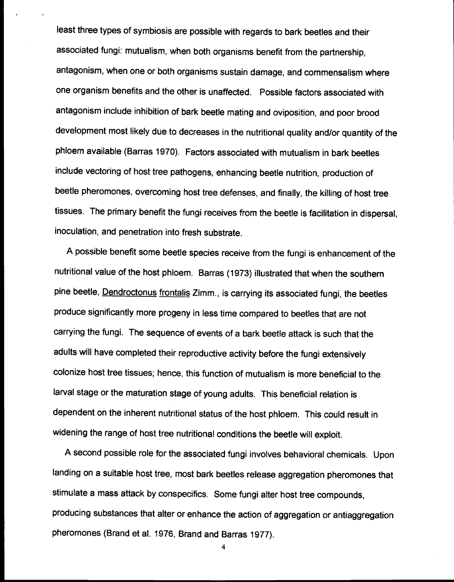least three types of symbiosis are possible with regards to bark beetles and their associated fungi: mutualism, when both organisms benefit from the partnership, antagonism, when one or both organisms sustain damage, and commensalism where one organism benefits and the other is unaffected. Possible factors associated with antagonism include inhibition of bark beetle mating and oviposition, and poor brood development most likely due to decreases in the nutritional quality and/or quantity of the phloem available (Barras 1970). Factors associated with mutualism in bark beetles include vectoring of host tree pathogens, enhancing beetle nutrition, production of beetle pheromones, overcoming host tree defenses, and finally, the killing of host tree tissues. The primary benefit the fungi receives from the beetle is facilitation in dispersal, inoculation, and penetration into fresh substrate.

A possible benefit some beetle species receive from the fungi is enhancement of the nutritional value of the host phloem. Barras (1973) illustrated that when the southern pine beetle, Dendroctonus frontalis Zimm., is carrying its associated fungi, the beetles produce significantly more progeny in less time compared to beetles that are not carrying the fungi. The sequence of events of a bark beetle attack is such that the adults will have completed their reproductive activity before the fungi extensively colonize host tree tissues; hence, this function of mutualism is more beneficial to the larval stage or the maturation stage of young adults. This beneficial relation is dependent on the inherent nutritional status of the host phloem. This could result in widening the range of host tree nutritional conditions the beetle will exploit.

A second possible role for the associated fungi involves behavioral chemicals. Upon landing on a suitable host tree, most bark beetles release aggregation pheromones that stimulate a mass attack by conspecifics. Some fungi alter host tree compounds, producing substances that alter or enhance the action of aggregation or antiaggregation pheromones (Brand et al. 1976, Brand and Barras 1977).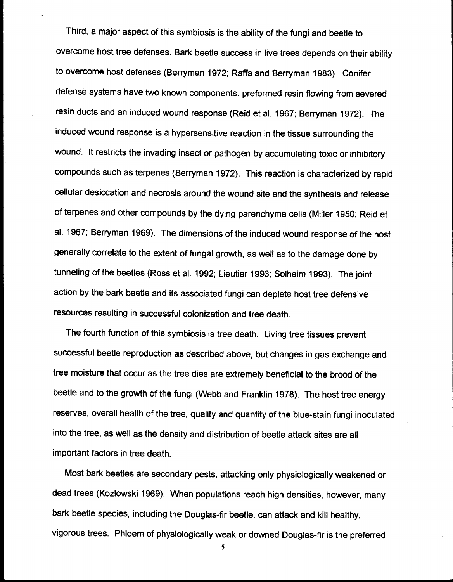Third, a major aspect of this symbiosis is the ability of the fungi and beetle to overcome host tree defenses. Bark beetle success in live trees depends on their ability to overcome host defenses (Berryman 1972; Raffa and Berryman 1983). Conifer defense systems have two known components: preformed resin flowing from severed resin ducts and an induced wound response (Reid et al. 1967; Berryman 1972). The induced wound response is a hypersensitive reaction in the tissue surrounding the wound. It restricts the invading insect or pathogen by accumulating toxic or inhibitory compounds such as terpenes (Berryman 1972). This reaction is characterized by rapid cellular desiccation and necrosis around the wound site and the synthesis and release of terpenes and other compounds by the dying parenchyma cells (Miller 1950; Reid et al. 1967; Berryman 1969). The dimensions of the induced wound response of the host generally correlate to the extent of fungal growth, as well as to the damage done by tunneling of the beetles (Ross et al. 1992; Lieutier 1993; Solheim 1993). The joint action by the bark beetle and its associated fungi can deplete host tree defensive resources resulting in successful colonization and tree death.

The fourth function of this symbiosis is tree death. Living tree tissues prevent successful beetle reproduction as described above, but changes in gas exchange and tree moisture that occur as the tree dies are extremely beneficial to the brood of the beetle and to the growth of the fungi (Webb and Franklin 1978). The host tree energy reserves, overall health of the tree, quality and quantity of the blue-stain fungi inoculated into the tree, as well as the density and distribution of beetle attack sites are all important factors in tree death.

Most bark beetles are secondary pests, attacking only physiologically weakened or dead trees (Kozlowski 1969). When populations reach high densities, however, many bark beetle species, including the Douglas-fir beetle, can attack and kill healthy, vigorous trees. Phloem of physiologically weak or downed Douglas-fir is the preferred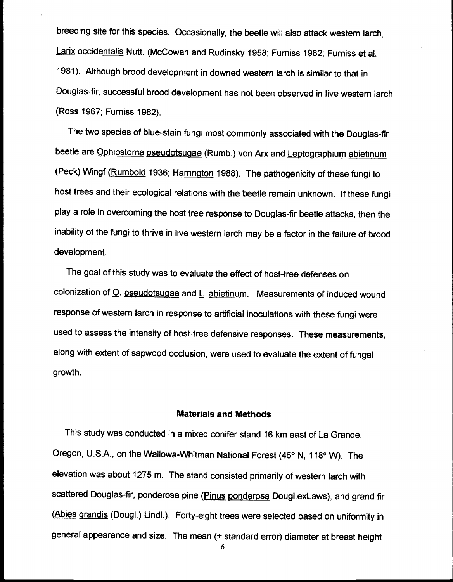breeding site for this species. Occasionally, the beetle will also attack western larch, Larix occidentalis Nutt. (McCowan and Rudinsky 1958; Furniss 1962; Furniss et al. 1981). Although brood development in downed western larch is similar to that in Douglas-fir, successful brood development has not been observed in live western larch (Ross 1967; Furniss 1962).

The two species of blue-stain fungi most commonly associated with the Douglas-fir beetle are Ophiostoma pseudotsugae (Rumb.) von Arx and Leptographium abietinum (Peck) Wingf (Rumbold 1936; Harrington 1988). The pathogenicity of these fungi to host trees and their ecological relations with the beetle remain unknown. If these fungi play a role in overcoming the host tree response to Douglas-fir beetle attacks, then the inability of the fungi to thrive in live western larch may be a factor in the failure of brood development.

The goal of this study was to evaluate the effect of host-tree defenses on colonization of O. pseudotsugae and L. abietinum. Measurements of induced wound response of western larch in response to artificial inoculations with these fungi were used to assess the intensity of host-tree defensive responses. These measurements, along with extent of sapwood occlusion, were used to evaluate the extent of fungal growth.

### Materials and Methods

This study was conducted in a mixed conifer stand 16 km east of La Grande, Oregon, U.S.A., on the Wallowa-Whitman National Forest (45° N, 118° W). The elevation was about 1275 m. The stand consisted primarily of western larch with scattered Douglas-fir, ponderosa pine (Pinus ponderosa Dougl.exLaws), and grand fir (Abies grandis (Dougl.) Lindl.). Forty-eight trees were selected based on uniformity in general appearance and size. The mean (± standard error) diameter at breast height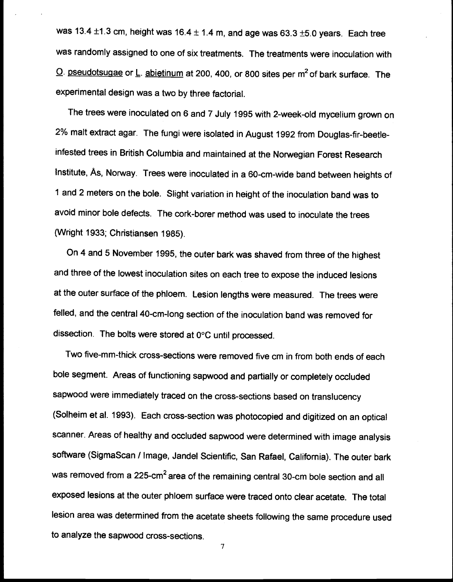was 13.4  $\pm$ 1.3 cm, height was 16.4  $\pm$  1.4 m, and age was 63.3  $\pm$ 5.0 years. Each tree was randomly assigned to one of six treatments. The treatments were inoculation with  $Q$ . pseudotsugae or L. abietinum at 200, 400, or 800 sites per  $m^2$  of bark surface. The experimental design was a two by three factorial.

The trees were inoculated on 6 and 7 July 1995 with 2-week-old mycelium grown on 2% malt extract agar. The fungi were isolated in August 1992 from Douglas-fir-beetleinfested trees in British Columbia and maintained at the Norwegian Forest Research Institute, As, Norway. Trees were inoculated in a 60-cm-wide band between heights of 1 and 2 meters on the bole. Slight variation in height of the inoculation band was to avoid minor bole defects. The cork-borer method was used to inoculate the trees (Wright 1933; Christiansen 1985).

On 4 and 5 November 1995, the outer bark was shaved from three of the highest and three of the lowest inoculation sites on each tree to expose the induced lesions at the outer surface of the phloem. Lesion lengths were measured. The trees were felled, and the central 40-cm-long section of the inoculation band was removed for dissection. The bolts were stored at 0°C until processed.

Two five-mm-thick cross-sections were removed five cm in from both ends of each bole segment. Areas of functioning sapwood and partially or completely occluded sapwood were immediately traced on the cross-sections based on translucency (Solheim et al. 1993). Each cross-section was photocopied and digitized on an optical scanner. Areas of healthy and occluded sapwood were determined with image analysis software (SigmaScan / Image, Jandel Scientific, San Rafael, California). The outer bark was removed from a 225-cm<sup>2</sup> area of the remaining central 30-cm bole section and all exposed lesions at the outer phloem surface were traced onto clear acetate. The total lesion area was determined from the acetate sheets following the same procedure used to analyze the sapwood cross-sections.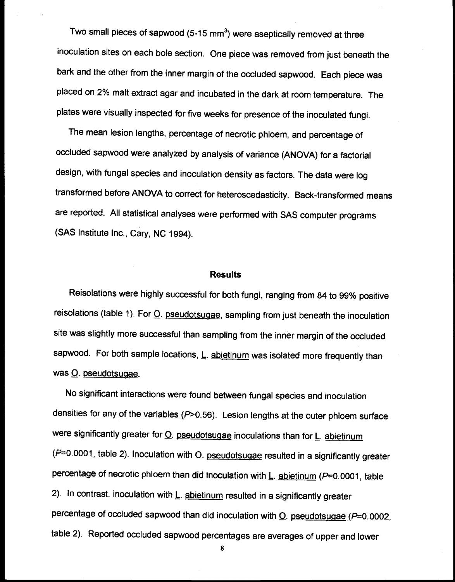Two small pieces of sapwood  $(5-15 \text{ mm}^3)$  were aseptically removed at three inoculation sites on each bole section. One piece was removed from just beneath the bark and the other from the inner margin of the occluded sapwood. Each piece was placed on 2% malt extract agar and incubated in the dark at room temperature. The plates were visually inspected for five weeks for presence of the inoculated fungi.

The mean lesion lengths, percentage of necrotic phloem, and percentage of occluded sapwood were analyzed by analysis of variance (ANOVA) for a factorial design, with fungal species and inoculation density as factors. The data were log transformed before ANOVA to correct for heteroscedasticity. Back-transformed means are reported. All statistical analyses were performed with SAS computer programs (SAS Institute Inc., Cary, NC 1994).

#### **Results**

Reisolations were highly successful for both fungi, ranging from 84 to 99% positive reisolations (table 1). For O. pseudotsugae, sampling from just beneath the inoculation site was slightly more successful than sampling from the inner margin of the occluded sapwood. For both sample locations,  $\underline{\mathsf{L}}$ . abietinum was isolated more frequently than was O. pseudotsuaae.

No significant interactions were found between fungal species and inoculation densities for any of the variables  $(P>0.56)$ . Lesion lengths at the outer phloem surface were significantly greater for  $Q$ . pseudotsugae inoculations than for  $L$ . abietinum  $(P=0.0001,$  table 2). Inoculation with O. pseudotsugae resulted in a significantly greater percentage of necrotic phloem than did inoculation with  $L$ . abietinum ( $P=0.0001$ , table 2). In contrast, inoculation with L. abietinum resulted in a significantly greater percentage of occluded sapwood than did inoculation with  $Q$ . pseudotsugae ( $P=0.0002$ , table 2). Reported occluded sapwood percentages are averages of upper and lower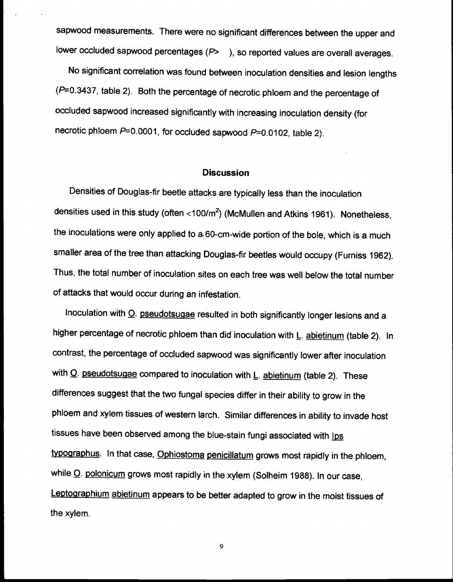sapwood measurements. There were no significant differences between the upper and lower occluded sapwood percentages  $(P > 1)$ , so reported values are overall averages.

No significant correlation was found between inoculation densities and lesion lengths (P=0.3437, table 2). Both the percentage of necrotic phloem and the percentage of occluded sapwood increased significantly with increasing inoculation density (for necrotic phloem  $P=0.0001$ , for occluded sapwood  $P=0.0102$ , table 2).

### **Discussion**

Densities of Douglas-fir beetle attacks are typically less than the inoculation densities used in this study (often  $<$ 100/m<sup>2</sup>) (McMullen and Atkins 1961). Nonetheless, the inoculations were only applied to a-60-cm-wide portion of the bole, which is a much smaller area of the tree than attacking Douglas-fir beetles would occupy (Fumiss 1962). Thus, the total number of inoculation sites on each tree was well below the total number of attacks that would occur during an infestation.

Inoculation with O. pseudotsugae resulted in both significantly longer lesions and a higher percentage of necrotic phloem than did inoculation with L. abietinum (table 2). In contrast, the percentage of occluded sapwood was significantly lower after inoculation with  $\Omega$ . pseudotsugae compared to inoculation with  $L$ . abietinum (table 2). These differences suggest that the two fungal species differ in their ability to grow in the phloem and xylem tissues of western larch. Similar differences in ability to invade host tissues have been observed among the blue-stain fungi associated with Ips tygographus. In that case, Ophiostoma penicillatum grows most rapidly in the phloem, while O. polonicum grows most rapidly in the xylem (Solheim 1988). In our case, Leptographium abietinum appears to be better adapted to grow in the moist tissues of the xylem.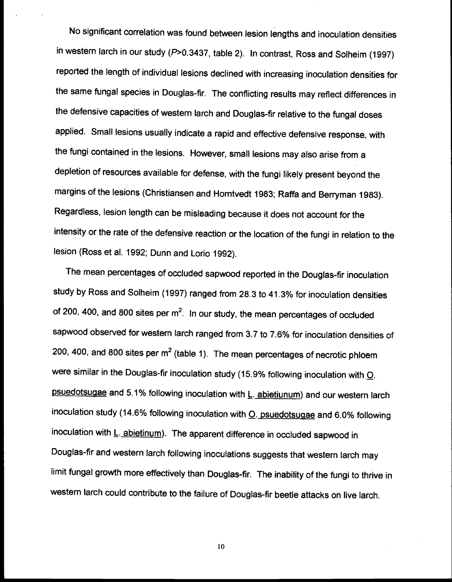No significant correlation was found between lesion lengths and inoculation densities in western larch in our study (P>0.3437, table 2). In contrast, Ross and Solheim (1997) reported the length of individual lesions declined with increasing inoculation densities for the same fungal species in Douglas-fir. The conflicting results may reflect differences in the defensive capacities of western larch and Douglas-fir relative to the fungal doses applied. Small lesions usually indicate a rapid and effective defensive response, with the fungi contained in the lesions. However, small lesions may also arise from a depletion of resources available for defense, with the fungi likely present beyond the margins of the lesions (Christiansen and Homtvedt 1983; Raffa and Berryman 1983). Regardless, lesion length can be misleading because it does not account for the intensity or the rate of the defensive reaction or the location of the fungi in relation to the lesion (Ross et al. 1992; Dunn and Lorio 1992).

The mean percentages of occluded sapwood reported in the Douglas-fir inoculation study by Ross and Solheim (1997) ranged from 28.3 to 41.3% for inoculation densities of 200, 400, and 800 sites per  $m^2$ . In our study, the mean percentages of occluded sapwood observed for western larch ranged from 3.7 to 7.6% for inoculation densities of 200, 400, and 800 sites per  $m^2$  (table 1). The mean percentages of necrotic phloem were similar in the Douglas-fir inoculation study (15.9% following inoculation with  $Q$ . psuedotsugae and 5.1% following inoculation with L. abietiunum) and our western larch inoculation study (14.6% following inoculation with  $Q$ . psuedotsugae and 6.0% following inoculation with L. abietinum). The apparent difference in occluded sapwood in Douglas-fir and western larch following inoculations suggests that western larch may limit fungal growth more effectively than Douglas-fir. The inability of the fungi to thrive in western larch could contribute to the failure of Douglas-fir beetle attacks on live larch.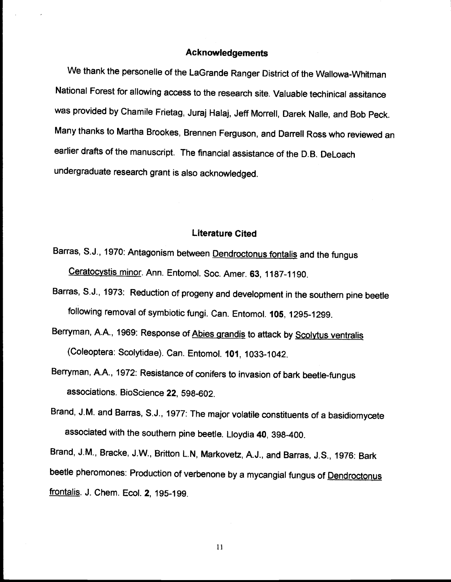# Acknowledgements

We thank the personelle of the LaGrande Ranger District of the Wallowa-Whitman National Forest for allowing access to the research site. Valuable techinical assitance was provided by Chamile Frietag, Juraj Halaj, Jeff Morrell, Darek Nalle, and Bob Peck. Many thanks to Martha Brookes, Brennen Ferguson, and Darrell Ross who reviewed an earlier drafts of the manuscript. The financial assistance of the D.B. DeLoach undergraduate research grant is also acknowledged.

### Literature Cited

- Barras, S.J., 1970: Antagonism between **Dendroctonus fontalis** and the fungus Ceratocystis minor. Ann. Entomol. Soc. Amer. 63, 1187-1190.
- Barras, S.J., 1973: Reduction of progeny and development in the southern pine beetle following removal of symbiotic fungi. Can. Entomol. 105, 1295-1299.
- Berryman, A.A., 1969: Response of Abies grandis to attack by Scolytus ventralis (Coleoptera: Scolytidae). Can. Entomol. 101, 1033-1042.
- Berryman, A.A., 1972: Resistance of conifers to invasion of bark beetle-fungus associations. BioScience 22, 598-602.
- Brand, J.M. and Barras, S.J., 1977: The major volatile constituents of a basidiomycete associated with the southern pine beetle. Lloydia 40, 398-400.

Brand, J.M., Bracke, J.W., Britton L.N, Markovetz, A.J., and Barras, J.S., 1976: Bark beetle pheromones: Production of verbenone by a mycangial fungus of Dendroctonus frontalis. J. Chem. Ecol. 2, 195-199.

Ii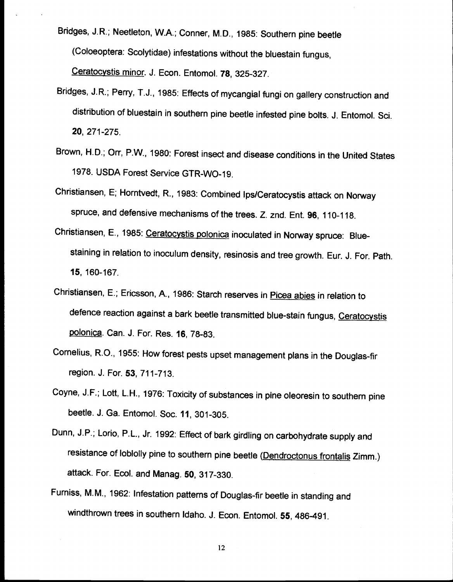Bridges, J.R.; Neetleton, W.A.; Conner, M.D., 1985: Southern pine beetle (Coloeoptera: Scolytidae) infestations without the bluestain fungus, Ceratocystis minor. J. Econ. Entomol. 78, 325-327.

- Bridges, J.R.; Perry, T.J., 1985: Effects of mycangial fungi on gallery construction and distribution of bluestain in southern pine beetle infested pine bolts. J. Entomol. Sci. 20, 271-275.
- Brown, H.D.; Orr, P.W., 1980: Forest insect and disease conditions in the United States 1978. USDA Forest Service GTR-WO-19.
- Christiansen, E; Homtvedt, R., 1983: Combined Ips/Ceratocystis attack on Norway spruce, and defensive mechanisms of the trees. Z. znd. Ent. 96, 110-118.
- Christiansen, E., 1985: Ceratocystis polonica inoculated in Norway spruce: Bluestaining in relation to inoculum density, resinosis and tree growth. Eur. J. For. Path. 15, 160-167.
- Christiansen, E.; Ericsson, A., 1986: Starch reserves in Picea abies in relation to defence reaction against a bark beetle transmitted blue-stain fungus, Ceratocystis polonica. Can. J. For. Res. 16, 78-83.
- Cornelius, R.O., 1955: How forest pests upset management plans in the Douglas-fir region. J. For. 53, 711-713.
- Coyne, J.F.; Loft, L.H., 1976: Toxicity of substances in pine oleoresin to southern pine beetle. J. Ga. Entomol. Soc. 11, 301-305.
- Dunn, J.P.; Lorio, P.L., Jr. 1992: Effect of bark girdling on carbohydrate supply and resistance of loblolly pine to southern pine beetle (Dendroctonus frontalis Zimm.) attack. For. Ecol. and Manag. 50, 317-330.
- Furniss, M.M., 1962: Infestation patterns of Douglas-fir beetle in standing and windthrown trees in southern Idaho. J. Econ. Entomol. 55, 486-491.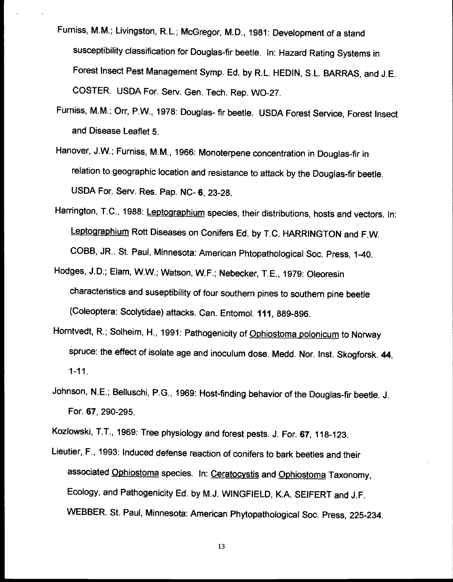- Fumiss, M.M.; Livingston, R.L.; McGregor, M.D., 1981: Development of a stand susceptibility classification for Douglas-fir beetle. In: Hazard Rating Systems in Forest Insect Pest Management Symp. Ed. by R.L. HEDIN, S.L. BARRAS, and J.E. COSTER. USDA For. Serv. Gen. Tech. Rep. WO-27.
- Furniss, M.M.; Orr, P.W., 1978: Douglas- fir beetle. USDA Forest Service, Forest Insect and Disease Leaflet 5.
- Hanover, J.W.; Fumiss, M.M., 1966: Monoterpene concentration in Douglas-fir in relation to geographic location and resistance to attack by the Douglas-fir beetle. USDA For. Serv. Res. Pap. NC- 6, 23-28.
- Harrington, T.C., 1988: Leptographium species, their distributions, hosts and vectors. In: Leptographium Rott Diseases on Conifers Ed. by T.C. HARRINGTON and F.W. COBB, JR.. St. Paul, Minnesota: American Phtopathological Soc. Press, 1-40.
- Hodges, J.D.; Elam, W.W.; Watson, W.F.; Nebecker, T.E., 1979: Oleoresin characteristics and suseptibility of four southern pines to southern pine beetle (Coleoptera: Scolytidae) attacks. Can. Entomol. 111, 889-896.
- Horntvedt, R.; Solheim, H., 1991: Pathogenicity of Ophiostoma polonicum to Norway spruce: the effect of isolate age and inoculum dose. Medd. Nor. Inst. Skogforsk. 44, 1-11.
- Johnson, N.E.; Belluschi, P.G., 1969: Host-finding behavior of the Douglas-fir beetle. J. For. 67, 290-295.

Kozlowski, T.T., 1969: Tree physiology and forest pests. J. For. 67, 118-123.

Lieutier, F., 1993: Induced defense reaction of conifers to bark beetles and their associated Ophiostoma species. In: Ceratocystis and Ophiostoma Taxonomy, Ecology, and Pathogenicity Ed. by M.J. WINGFIELD, K.A. SEIFERT and J.F. WEBBER. St. Paul, Minnesota: American Phytopathological Soc. Press, 225-234.